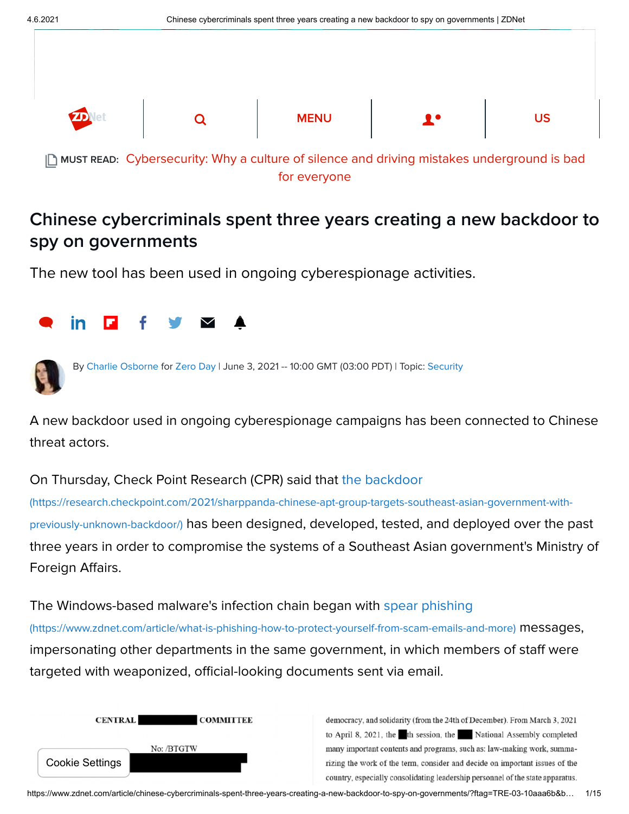

#### for everyone

# Chinese cybercriminals spent three years creating a new backdoor to spy on governments

The new tool has been used in ongoing cyberespionage activities.





By [Charlie Osborne](https://www.zdnet.com/meet-the-team/us/charlie-osborne/) for [Zero Day](https://www.zdnet.com/blog/security/) | June 3, 2021 -- 10:00 GMT (03:00 PDT) | Topic: [Security](https://www.zdnet.com/topic/security/)

A new backdoor used in ongoing cyberespionage campaigns has been connected to Chinese threat actors.

### On Thursday, Check Point Research (CPR) said that the backdoor

[\(https://research.checkpoint.com/2021/sharppanda-chinese-apt-group-targets-southeast-asian-government-with](https://research.checkpoint.com/2021/sharppanda-chinese-apt-group-targets-southeast-asian-government-with-previously-unknown-backdoor/)previously-unknown-backdoor/) has been designed, developed, tested, and deployed over the past three years in order to compromise the systems of a Southeast Asian government's Ministry of Foreign Affairs.

## [The Windows-based malware's infection chain began with spear phishing](https://www.zdnet.com/article/what-is-phishing-how-to-protect-yourself-from-scam-emails-and-more)

(https://www.zdnet.com/article/what-is-phishing-how-to-protect-yourself-from-scam-emails-and-more) messages, impersonating other departments in the same government, in which members of staff were targeted with weaponized, official-looking documents sent via email.



democracy, and solidarity (from the 24th of December). From March 3, 2021 to April 8, 2021, the th session, the National Assembly completed many important contents and programs, such as: law-making work, summarizing the work of the term, consider and decide on important issues of the country, especially consolidating leadership personnel of the state apparatus.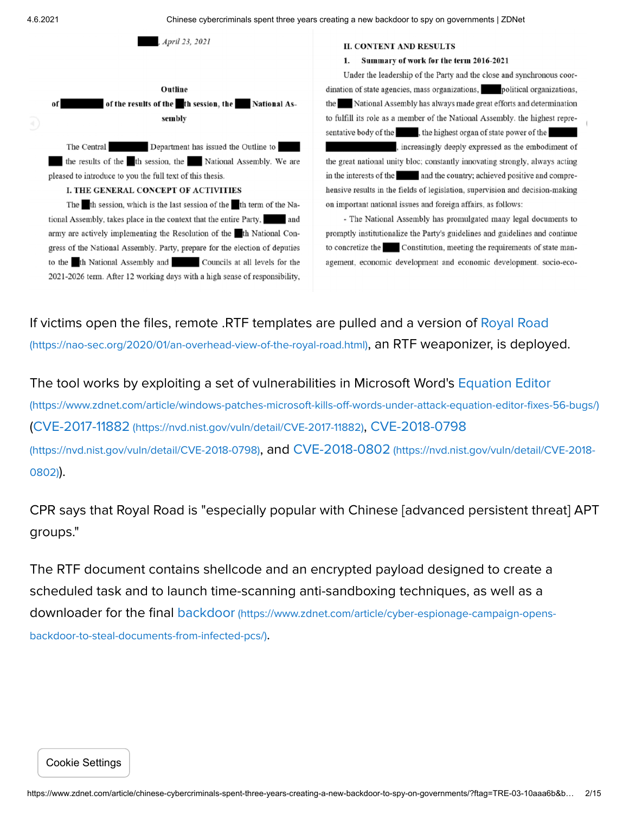4.6.2021 Chinese cybercriminals spent three years creating a new backdoor to spy on governments | ZDNet



**II. CONTENT AND RESULTS** 

#### 1. Summary of work for the term 2016-2021

Under the leadership of the Party and the close and synchronous coordination of state agencies, mass organizations, political organizations, the National Assembly has always made great efforts and determination to fulfill its role as a member of the National Assembly. the highest representative body of the set the highest organ of state power of the

, increasingly deeply expressed as the embodiment of the great national unity bloc; constantly innovating strongly, always acting in the interests of the and the country; achieved positive and comprehensive results in the fields of legislation, supervision and decision-making on important national issues and foreign affairs, as follows:

- The National Assembly has promulgated many legal documents to promptly institutionalize the Party's guidelines and guidelines and continue to concretize the Constitution, meeting the requirements of state management, economic development and economic development. socio-eco-

[If victims open the files, remote .RTF templates are pulled and a version of Royal Road](https://nao-sec.org/2020/01/an-overhead-view-of-the-royal-road.html)

(https://nao-sec.org/2020/01/an-overhead-view-of-the-royal-road.html), an RTF weaponizer, is deployed.

[The tool works by exploiting a set of vulnerabilities in Microsoft Word's Equation Editor](https://www.zdnet.com/article/windows-patches-microsoft-kills-off-words-under-attack-equation-editor-fixes-56-bugs/) (https://www.zdnet.com/article/windows-patches-microsoft-kills-off-words-under-attack-equation-editor-fixes-56-bugs/) (CVE-2017-11882 [\(https://nvd.nist.gov/vuln/detail/CVE-2017-11882](https://nvd.nist.gov/vuln/detail/CVE-2017-11882)[\)](https://nvd.nist.gov/vuln/detail/CVE-2018-0798), CVE-2018-0798 [\(https://nvd.nist.gov/vuln/detail/CVE-2018-0798\)](https://nvd.nist.gov/vuln/detail/CVE-2018-0802), and CVE-2018-0802 (https://nvd.nist.gov/vuln/detail/CVE-2018- 0802)).

CPR says that Royal Road is "especially popular with Chinese [advanced persistent threat] APT groups."

The RTF document contains shellcode and an encrypted payload designed to create a scheduled task and to launch time-scanning anti-sandboxing techniques, as well as a downloader for the final backdoor [\(https://www.zdnet.com/article/cyber-espionage-campaign-opens](https://www.zdnet.com/article/cyber-espionage-campaign-opens-backdoor-to-steal-documents-from-infected-pcs/)backdoor-to-steal-documents-from-infected-pcs/).

Cookie Settings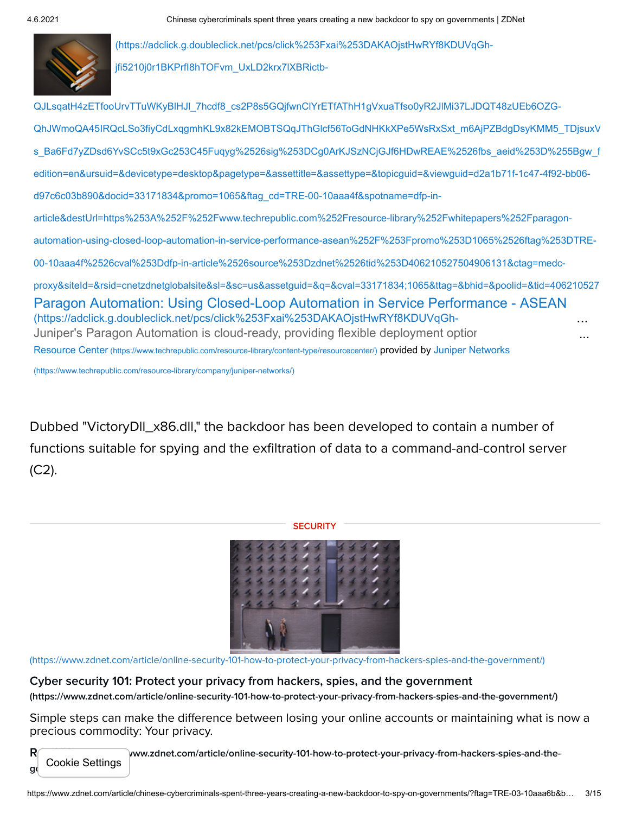

(https://adclick.g.doubleclick.net/pcs/click%253Fxai%253DAKAOjstHwRYf8KDUVqGhjfi5210j0r1BKPrfI8hTOFvm\_UxLD2krx7lXBRictb-

[Paragon Automation: Using Closed-Loop Automation in Service Performance - ASEAN](https://adclick.g.doubleclick.net/pcs/click%253Fxai%253DAKAOjstHwRYf8KDUVqGh-jfi5210j0r1BKPrfI8hTOFvm_UxLD2krx7lXBRictb-QJLsqatH4zETfooUrvTTuWKyBlHJl_7hcdf8_cs2P8s5GQjfwnClYrETfAThH1gVxuaTfso0yR2JlMi37LJDQT48zUEb6OZG-QhJWmoQA45IRQcLSo3fiyCdLxqgmhKL9x82kEMOBTSQqJThGlcf56ToGdNHKkXPe5WsRxSxt_m6AjPZBdgDsyKMM5_TDjsuxV9NGAA0g-s_Ba6Fd7yZDsd6YvSCc5t9xGc253C45Fuqyg%2526sig%253DCg0ArKJSzNCjGJf6HDwREAE%2526fbs_aeid%253D%255Bgw_fbsaeid%255D%2526urlfix%253D1%2526adurl%253Dhttps://lnk.techrepublic.com/redir?edition=en&ursuid=&devicetype=desktop&pagetype=&assettitle=&assettype=&topicguid=&viewguid=d2a1b71f-1c47-4f92-bb06-d97c6c03b890&docid=33171834&promo=1065&ftag_cd=TRE-00-10aaa4f&spotname=dfp-in-article&destUrl=https%253A%252F%252Fwww.techrepublic.com%252Fresource-library%252Fwhitepapers%252Fparagon-automation-using-closed-loop-automation-in-service-performance-asean%252F%253Fpromo%253D1065%2526ftag%253DTRE-00-10aaa4f%2526cval%253Ddfp-in-article%2526source%253Dzdnet%2526tid%253D406210527504906131&ctag=medc-proxy&siteId=&rsid=cnetzdnetglobalsite&sl=&sc=us&assetguid=&q=&cval=33171834;1065&ttag=&bhid=&poolid=&tid=406210527504906131) (https://adclick.g.doubleclick.net/pcs/click%253Fxai%253DAKAOjstHwRYf8KDUVqGh-Juniper's Paragon Automation is cloud-ready, providing flexible deployment optior QJLsqatH4zETfooUrvTTuWKyBlHJl\_7hcdf8\_cs2P8s5GQjfwnClYrETfAThH1gVxuaTfso0yR2JlMi37LJDQT48zUEb6OZG-[QhJWmoQA45IRQcLSo3fiyCdLxqgmhKL9x82kEMOBTSQqJThGlcf56ToGdNHKkXPe5WsRxSxt\\_m6AjPZBdgDsyKMM5\\_TDjsuxV](https://adclick.g.doubleclick.net/pcs/click%253Fxai%253DAKAOjstHwRYf8KDUVqGh-jfi5210j0r1BKPrfI8hTOFvm_UxLD2krx7lXBRictb-QJLsqatH4zETfooUrvTTuWKyBlHJl_7hcdf8_cs2P8s5GQjfwnClYrETfAThH1gVxuaTfso0yR2JlMi37LJDQT48zUEb6OZG-QhJWmoQA45IRQcLSo3fiyCdLxqgmhKL9x82kEMOBTSQqJThGlcf56ToGdNHKkXPe5WsRxSxt_m6AjPZBdgDsyKMM5_TDjsuxV9NGAA0g-s_Ba6Fd7yZDsd6YvSCc5t9xGc253C45Fuqyg%2526sig%253DCg0ArKJSzNCjGJf6HDwREAE%2526fbs_aeid%253D%255Bgw_fbsaeid%255D%2526urlfix%253D1%2526adurl%253Dhttps://lnk.techrepublic.com/redir?edition=en&ursuid=&devicetype=desktop&pagetype=&assettitle=&assettype=&topicguid=&viewguid=d2a1b71f-1c47-4f92-bb06-d97c6c03b890&docid=33171834&promo=1065&ftag_cd=TRE-00-10aaa4f&spotname=dfp-in-article&destUrl=https%253A%252F%252Fwww.techrepublic.com%252Fresource-library%252Fwhitepapers%252Fparagon-automation-using-closed-loop-automation-in-service-performance-asean%252F%253Fpromo%253D1065%2526ftag%253DTRE-00-10aaa4f%2526cval%253Ddfp-in-article%2526source%253Dzdnet%2526tid%253D406210527504906131&ctag=medc-proxy&siteId=&rsid=cnetzdnetglobalsite&sl=&sc=us&assetguid=&q=&cval=33171834;1065&ttag=&bhid=&poolid=&tid=406210527504906131) s\_Ba6Fd7yZDsd6YvSCc5t9xGc253C45Fuqyg%2526sig%253DCg0ArKJSzNCjGJf6HDwREAE%2526fbs\_aeid%253D%255Bgw\_f edition=en&ursuid=&devicetype=desktop&pagetype=&assettitle=&assettype=&topicguid=&viewguid=d2a1b71f-1c47-4f92-bb06 d97c6c03b890&docid=33171834&promo=1065&ftag\_cd=TRE-00-10aaa4f&spotname=dfp-inarticle&destUrl=https%253A%252F%252Fwww.techrepublic.com%252Fresource-library%252Fwhitepapers%252Fparagonautomation-using-closed-loop-automation-in-service-performance-asean%252F%253Fpromo%253D1065%2526ftag%253DTRE-00-10aaa4f%2526cval%253Ddfp-in-article%2526source%253Dzdnet%2526tid%253D406210527504906131&ctag=medcproxy&siteId=&rsid=cnetzdnetglobalsite&sl=&sc=us&assetguid=&q=&cval=33171834;1065&ttag=&bhid=&poolid=&tid=406210527 Resource Center [\(https://www.techrepublic.com/resource-library/content-type/resourcecenter/](https://www.techrepublic.com/resource-library/content-type/resourcecenter/)[\)](https://www.techrepublic.com/resource-library/company/juniper-networks/) provided by Juniper Networks (https://www.techrepublic.com/resource-library/company/juniper-networks/) ... ...

Dubbed "VictoryDll\_x86.dll," the backdoor has been developed to contain a number of functions suitable for spying and the exfiltration of data to a command-and-control server  $(C2)$ .

#### **SECURITY**



[\(https://www.zdnet.com/article/online-security-101-how-to-protect-your-privacy-from-hackers-spies-and-the-government/\)](https://www.zdnet.com/article/online-security-101-how-to-protect-your-privacy-from-hackers-spies-and-the-government/)

[Cyber security 101: Protect your privacy from hackers, spies, and the government](https://www.zdnet.com/article/online-security-101-how-to-protect-your-privacy-from-hackers-spies-and-the-government/) (https://www.zdnet.com/article/online-security-101-how-to-protect-your-privacy-from-hackers-spies-and-the-government/)

Simple steps can make the difference between losing your online accounts or maintaining what is now a precious commodity: Your privacy.

 $R$ ead More (www.zdnet.com/article/online-security-101-how-to-protect-your-privacy-from-hackers-spies-and-thegovernalische Settings